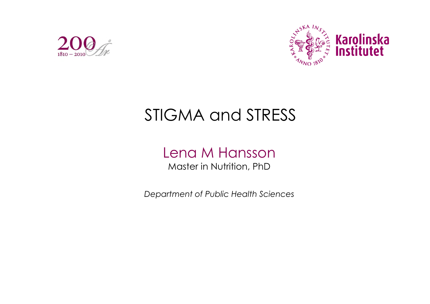



## STIGMA and STRESS

## Lena M Hansson Master in Nutrition, PhD

*Department of Public Health Sciences*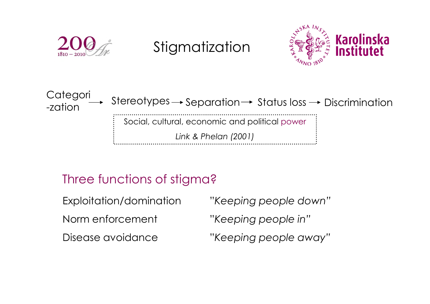

## Three functions of stigma?

| Exploitation/domination | "Keeping people down" |
|-------------------------|-----------------------|
| Norm enforcement        | "Keeping people in"   |
| Disease avoidance       | "Keeping people away" |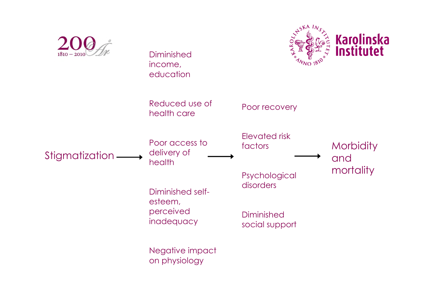

on physiology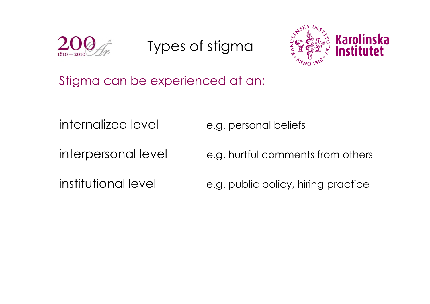

Types of stigma



Stigma can be experienced at an:

internalized level e.g. personal beliefs

interpersonal level e.g. hurtful comments from others

institutional level e.g. public policy, hiring practice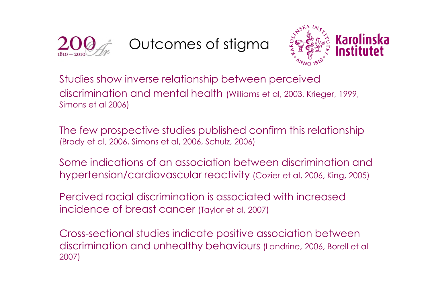

Outcomes of stigma



Studies show inverse relationship between perceived discrimination and mental health (Williams et al, 2003, Krieger, 1999, Simons et al 2006)

The few prospective studies published confirm this relationship (Brody et al, 2006, Simons et al, 2006, Schulz, 2006)

Some indications of an association between discrimination and hypertension/cardiovascular reactivity (Cozier et al, 2006, King, 2005)

Percived racial discrimination is associated with increased incidence of breast cancer (Taylor et al, 2007)

Cross-sectional studies indicate positive association between discrimination and unhealthy behaviours (Landrine, 2006, Borell et al 2007)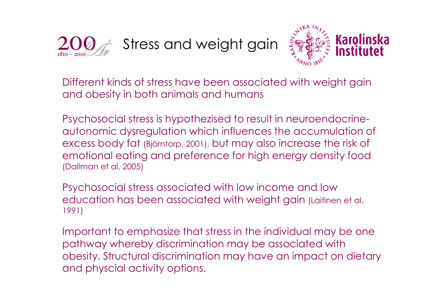

Stress and weight gain



Different kinds of stress have been associated with weight gain and obesity in both animals and humans

Psychosocial stress is hypothezised to result in neuroendocrineautonomic dysregulation which influences the accumulation of excess body fat (Björntorp, 2001), but may also increase the risk of emotional eating and preference for high energy density food (Dallman et al, 2005)

Psychosocial stress associated with low income and low education has been associated with weight gain (Laitinen et al, 1991)

Important to emphasize that stress in the individual may be one pathway whereby discrimination may be associated with obesity. Structural discrimination may have an impact on dietary and physcial activity options.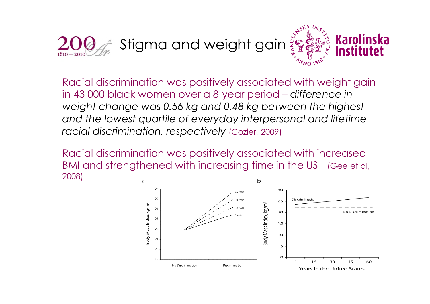

Racial discrimination was positively associated with weight gain in 43 000 black women over a 8-year period – *difference in weight change was 0.56 kg and 0.48 kg between the highest and the lowest quartile of everyday interpersonal and lifetime racial discrimination, respectively* (Cozier, 2009)

Racial discrimination was positively associated with increased BMI and strengthened with increasing time in the US - (Gee et al, 2008)

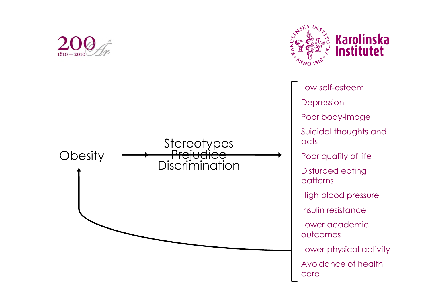



Low self-esteem Depression Poor body-image Suicidal thoughts and acts Poor quality of life Disturbed eating patterns High blood pressure Insulin resistance Lower academic outcomes Lower physical activity Avoidance of health care

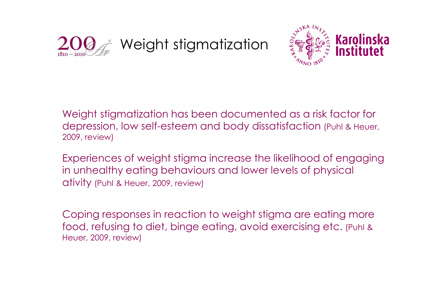



Weight stigmatization has been documented as a risk factor for depression, low self-esteem and body dissatisfaction (Puhl & Heuer, 2009, review)

Experiences of weight stigma increase the likelihood of engaging in unhealthy eating behaviours and lower levels of physical ativity (Puhl & Heuer, 2009, review)

Coping responses in reaction to weight stigma are eating more food, refusing to diet, binge eating, avoid exercising etc. (Puhl & Heuer, 2009, review)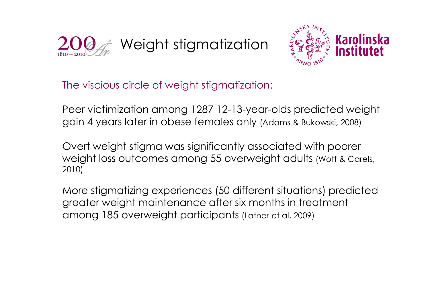



The viscious circle of weight stigmatization:

Peer victimization among 1287 12-13-year-olds predicted weight gain 4 years later in obese females only (Adams & Bukowski, 2008)

Overt weight stigma was significantly associated with poorer weight loss outcomes among 55 overweight adults (Wott & Carels, 2010)

More stigmatizing experiences (50 different situations) predicted greater weight maintenance after six months in treatment among 185 overweight participants (Latner et al, 2009)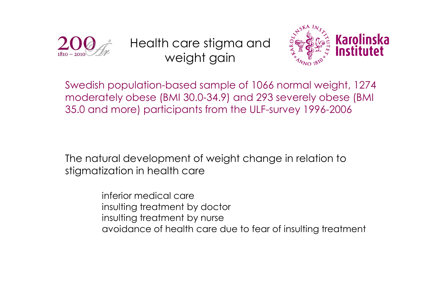

Health care stigma and weight gain



Swedish population-based sample of 1066 normal weight, 1274 moderately obese (BMI 30.0-34.9) and 293 severely obese (BMI 35.0 and more) participants from the ULF-survey 1996-2006

The natural development of weight change in relation to stigmatization in health care

> inferior medical care insulting treatment by doctor insulting treatment by nurse avoidance of health care due to fear of insulting treatment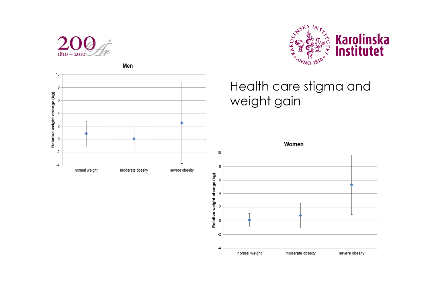

Men



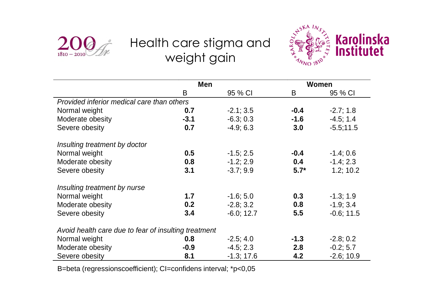

## Health care stigma and weight gain



|                                                      | <b>Men</b> |              | Women  |              |  |  |
|------------------------------------------------------|------------|--------------|--------|--------------|--|--|
|                                                      | B          | 95 % CI      | B      | 95 % CI      |  |  |
| Provided inferior medical care than others           |            |              |        |              |  |  |
| Normal weight                                        | 0.7        | $-2.1; 3.5$  | $-0.4$ | $-2.7; 1.8$  |  |  |
| Moderate obesity                                     | $-3.1$     | $-6.3; 0.3$  | $-1.6$ | $-4.5; 1.4$  |  |  |
| Severe obesity                                       | 0.7        | $-4.9; 6.3$  | 3.0    | $-5.5;11.5$  |  |  |
| Insulting treatment by doctor                        |            |              |        |              |  |  |
| Normal weight                                        | 0.5        | $-1.5; 2.5$  | $-0.4$ | $-1.4;0.6$   |  |  |
| Moderate obesity                                     | 0.8        | $-1.2; 2.9$  | 0.4    | $-1.4; 2.3$  |  |  |
| Severe obesity                                       | 3.1        | $-3.7;9.9$   | $5.7*$ | 1.2; 10.2    |  |  |
| Insulting treatment by nurse                         |            |              |        |              |  |  |
| Normal weight                                        | 1.7        | $-1.6; 5.0$  | 0.3    | $-1.3; 1.9$  |  |  |
| Moderate obesity                                     | 0.2        | $-2.8; 3.2$  | 0.8    | $-1.9; 3.4$  |  |  |
| Severe obesity                                       | 3.4        | $-6.0; 12.7$ | 5.5    | $-0.6; 11.5$ |  |  |
| Avoid health care due to fear of insulting treatment |            |              |        |              |  |  |
| Normal weight                                        | 0.8        | $-2.5; 4.0$  | $-1.3$ | $-2.8; 0.2$  |  |  |
| Moderate obesity                                     | $-0.9$     | $-4.5; 2.3$  | 2.8    | $-0.2; 5.7$  |  |  |
| Severe obesity                                       | 8.1        | $-1.3; 17.6$ | 4.2    | $-2.6; 10.9$ |  |  |

B=beta (regressionscoefficient); CI=confidens interval; \*p<0,05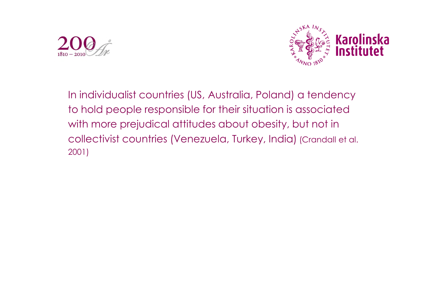



In individualist countries (US, Australia, Poland) a tendency to hold people responsible for their situation is associated with more prejudical attitudes about obesity, but not in collectivist countries (Venezuela, Turkey, India) (Crandall et al. 2001)